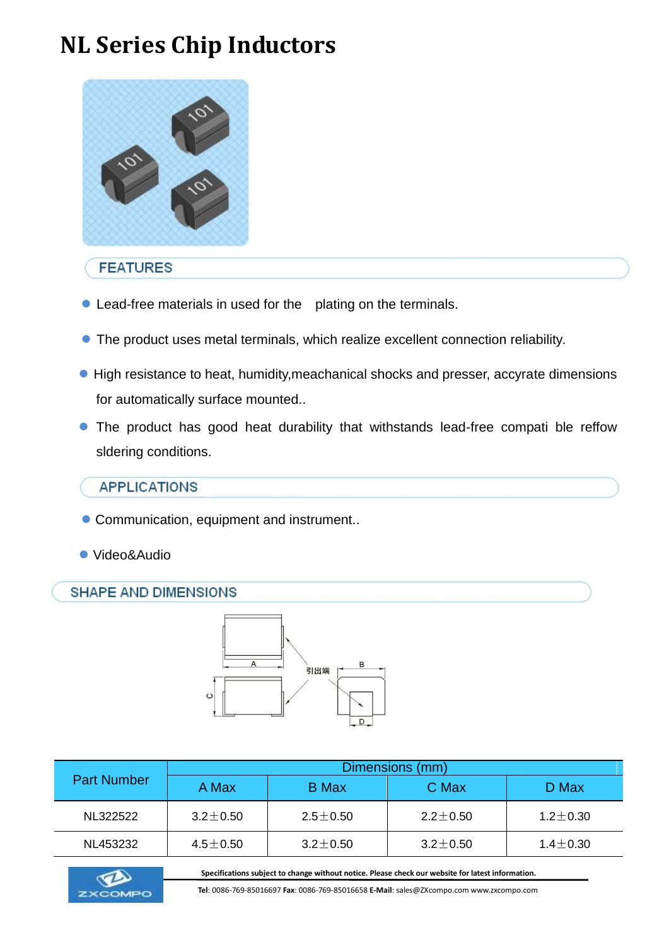# **NL Series Chip Inductors**



## **FEATURES**

- Lead-free materials in used for the plating on the terminals.
- The product uses metal terminals, which realize excellent connection reliability.
- High resistance to heat, humidity, meachanical shocks and presser, accyrate dimensions for automatically surface mounted..
- The product has good heat durability that withstands lead-free compati ble reffow sldering conditions.

## **APPLICATIONS**

- Communication, equipment and instrument..
- Video&Audio

### **SHAPE AND DIMENSIONS**



| <b>Part Number</b> | Dimensions (mm) |                |                |                |  |  |  |  |  |
|--------------------|-----------------|----------------|----------------|----------------|--|--|--|--|--|
|                    | A Max           | <b>B</b> Max   | C Max          | D Max          |  |  |  |  |  |
| NL322522           | $3.2 + 0.50$    | $2.5 + 0.50$   | $2.2 \pm 0.50$ | $1.2 + 0.30$   |  |  |  |  |  |
| NL453232           | $4.5 \pm 0.50$  | $3.2 \pm 0.50$ | $3.2 \pm 0.50$ | $1.4 \pm 0.30$ |  |  |  |  |  |





 **Tel**: 0086-769-85016697 **Fax**: 0086-769-85016658 **E-Mail**: sales@ZXcompo.com www.zxcompo.com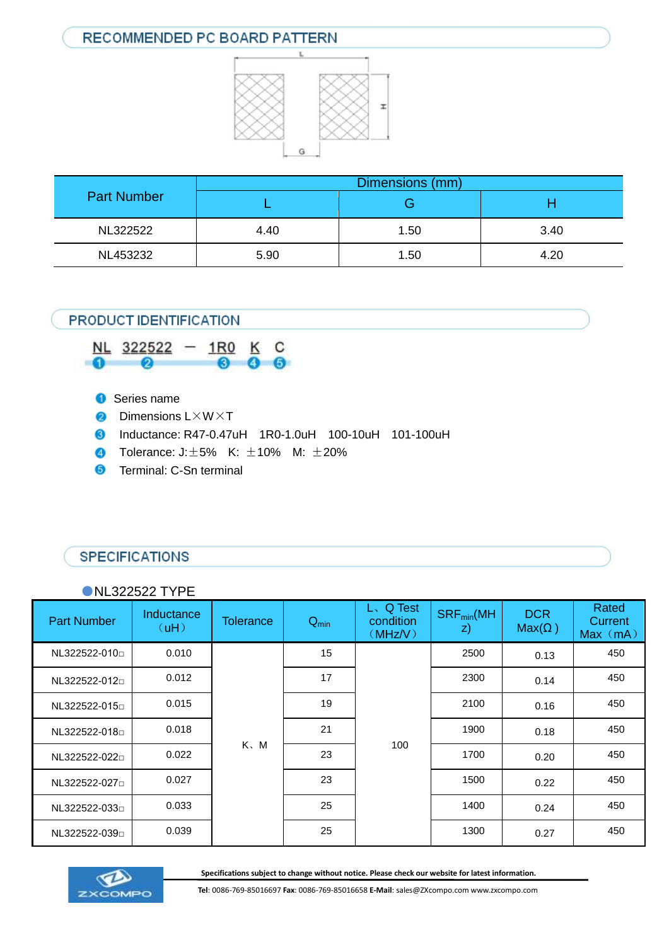## RECOMMENDED PC BOARD PATTERN



| <b>Part Number</b> | Dimensions (mm) |      |      |  |  |  |
|--------------------|-----------------|------|------|--|--|--|
|                    |                 | . .  |      |  |  |  |
| NL322522           | 4.40            | 1.50 | 3.40 |  |  |  |
| NL453232           | 5.90            | 1.50 | 4.20 |  |  |  |

### PRODUCT IDENTIFICATION



- **O** Series name
- **2** Dimensions L×W×T
- Inductance: R47-0.47uH 1R0-1.0uH 100-10uH 101-100uH
- **1** Tolerance:  $J: \pm 5\%$  K:  $\pm 10\%$  M:  $\pm 20\%$
- **6** Terminal: C-Sn terminal

## **SPECIFICATIONS**

#### ●NL322522 TYPE

| <b>Part Number</b>          | Inductance<br>(UH) | <b>Tolerance</b> | $Q_{\text{min}}$ | L. Q Test<br>condition<br>(MHz/V) | $SRF_{min}(MH)$<br>z) | <b>DCR</b><br>$Max(\Omega)$ | Rated<br>Current<br>Max (mA) |
|-----------------------------|--------------------|------------------|------------------|-----------------------------------|-----------------------|-----------------------------|------------------------------|
| NL322522-010                | 0.010              |                  | 15               |                                   | 2500                  | 0.13                        | 450                          |
| NL322522-012                | 0.012              |                  | 17               |                                   | 2300                  | 0.14                        | 450                          |
| NL322522-015                | 0.015              | $K$ , $M$        | 19               |                                   | 2100                  | 0.16                        | 450                          |
| NL322522-018                | 0.018              |                  | 21               |                                   | 1900                  | 0.18                        | 450                          |
| NL322522-022 <sub>D</sub>   | 0.022              |                  | 23               | 100                               | 1700                  | 0.20                        | 450                          |
| NL322522-027n               | 0.027              |                  | 23               |                                   | 1500                  | 0.22                        | 450                          |
| NL322522-033 <sup>[1]</sup> | 0.033              |                  | 25               |                                   | 1400                  | 0.24                        | 450                          |
| NL322522-039                | 0.039              |                  | 25               |                                   | 1300                  | 0.27                        | 450                          |





**EXCOMPO** Tel: 0086-769-85016697 **Fax**: 0086-769-85016658 **E-Mail**: sales@ZXcompo.com www.zxcompo.com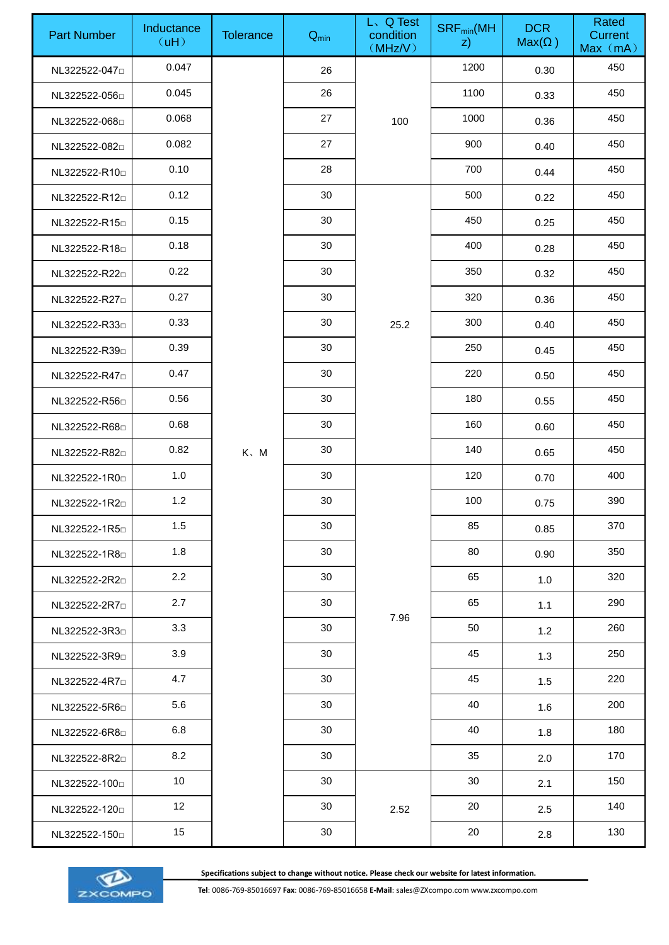| <b>Part Number</b>        | Inductance<br>(uH) | <b>Tolerance</b> | $Q_{min}$ | L. Q Test<br>condition<br>(MHz/V) | $\mathsf{SRF}_{\textsf{min}}(\mathsf{MH})$<br>$ z\rangle$ | <b>DCR</b><br>$Max(\Omega)$ | Rated<br>Current<br>Max (mA) |
|---------------------------|--------------------|------------------|-----------|-----------------------------------|-----------------------------------------------------------|-----------------------------|------------------------------|
| NL322522-047 <sup>D</sup> | 0.047              |                  | 26        |                                   | 1200                                                      | 0.30                        | 450                          |
| NL322522-056              | 0.045              |                  | 26        |                                   | 1100                                                      | 0.33                        | 450                          |
| NL322522-068              | 0.068              |                  | 27        | 100                               | 1000                                                      | 0.36                        | 450                          |
| NL322522-082              | 0.082              |                  | 27        |                                   | 900                                                       | 0.40                        | 450                          |
| NL322522-R10 <sup>D</sup> | 0.10               |                  | 28        |                                   | 700                                                       | 0.44                        | 450                          |
| NL322522-R12D             | 0.12               |                  | 30        |                                   | 500                                                       | 0.22                        | 450                          |
| NL322522-R15              | 0.15               |                  | 30        |                                   | 450                                                       | 0.25                        | 450                          |
| NL322522-R18              | 0.18               |                  | 30        |                                   | 400                                                       | 0.28                        | 450                          |
| NL322522-R22 <sup>D</sup> | 0.22               |                  | 30        |                                   | 350                                                       | 0.32                        | 450                          |
| NL322522-R27              | 0.27               |                  | 30        |                                   | 320                                                       | 0.36                        | 450                          |
| NL322522-R330             | 0.33               |                  | 30        | 25.2                              | 300                                                       | 0.40                        | 450                          |
| NL322522-R39              | 0.39               |                  | 30        |                                   | 250                                                       | 0.45                        | 450                          |
| NL322522-R47 <sup>D</sup> | 0.47               |                  | 30        |                                   | 220                                                       | 0.50                        | 450                          |
| NL322522-R56              | 0.56               |                  | 30        |                                   | 180                                                       | 0.55                        | 450                          |
| NL322522-R68D             | 0.68               |                  | 30        |                                   | 160                                                       | 0.60                        | 450                          |
| NL322522-R82              | 0.82               | $K$ , $M$        | 30        |                                   | 140                                                       | 0.65                        | 450                          |
| NL322522-1R0              | 1.0                |                  | 30        |                                   | 120                                                       | 0.70                        | 400                          |
| NL322522-1R2D             | $1.2$              |                  | $30\,$    |                                   | 100                                                       | 0.75                        | 390                          |
| NL322522-1R5              | 1.5                |                  | 30        |                                   | 85                                                        | 0.85                        | 370                          |
| NL322522-1R8              | 1.8                |                  | 30        |                                   | 80                                                        | 0.90                        | 350                          |
| NL322522-2R2              | 2.2                |                  | 30        |                                   | 65                                                        | 1.0                         | 320                          |
| NL322522-2R7              | 2.7                |                  | 30        |                                   | 65                                                        | 1.1                         | 290                          |
| NL322522-3R3D             | 3.3                |                  | 30        | 7.96                              | 50                                                        | 1.2                         | 260                          |
| NL322522-3R9D             | 3.9                |                  | 30        |                                   | 45                                                        | 1.3                         | 250                          |
| NL322522-4R7              | 4.7                |                  | 30        |                                   | 45                                                        | 1.5                         | 220                          |
| NL322522-5R6              | 5.6                |                  | 30        |                                   | 40                                                        | 1.6                         | 200                          |
| NL322522-6R8              | 6.8                |                  | 30        |                                   | 40                                                        | 1.8                         | 180                          |
| NL322522-8R2              | 8.2                |                  | 30        |                                   | 35                                                        | 2.0                         | 170                          |
| NL322522-100 <sub>0</sub> | 10 <sup>1</sup>    |                  | 30        |                                   | 30                                                        | 2.1                         | 150                          |
| NL322522-120 <sub>0</sub> | 12                 |                  | 30        | 2.52                              | 20                                                        | 2.5                         | 140                          |
| NL322522-150 <sub>0</sub> | 15                 |                  | 30        |                                   | 20                                                        | 2.8                         | 130                          |

**Specifications subject to change without notice. Please check our website for latest information.**



Specifications subject to change without notice. Please check our website for latest information.<br>Tel: 0086-769-85016697 **Fax**: 0086-769-85016658 **E-Mail**: sales@ZXcompo.com www.zxcompo.com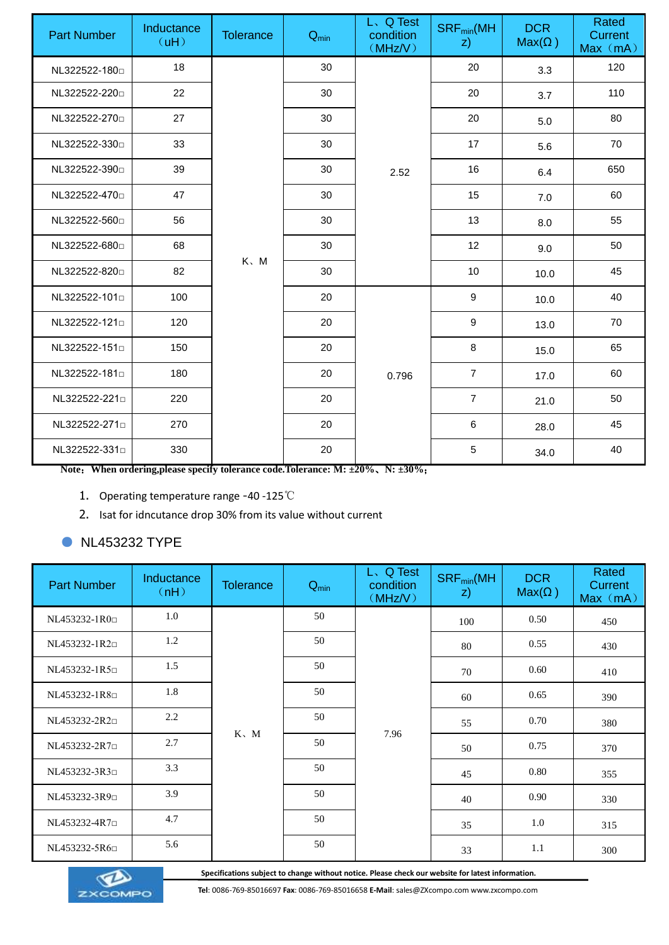| <b>Part Number</b>        | Inductance<br>(UH) | <b>Tolerance</b> | $Q_{min}$ | L. Q Test<br>condition<br>(MHz/V) | $SRF_{min}(MH)$<br>$\mathsf{z}$ | <b>DCR</b><br>$Max(\Omega)$ | Rated<br>Current<br>Max (mA) |
|---------------------------|--------------------|------------------|-----------|-----------------------------------|---------------------------------|-----------------------------|------------------------------|
| NL322522-180D             | 18                 |                  | 30        |                                   | 20                              | 3.3                         | 120                          |
| NL322522-220 <sub>D</sub> | 22                 |                  | 30        |                                   | 20                              | 3.7                         | 110                          |
| NL322522-270 <sub>0</sub> | 27                 |                  | 30        |                                   | 20                              | 5.0                         | 80                           |
| NL322522-330 <sub>D</sub> | 33                 |                  | 30        |                                   | 17                              | 5.6                         | 70                           |
| NL322522-390 <sub>p</sub> | 39                 |                  | 30        | 2.52                              | 16                              | 6.4                         | 650                          |
| NL322522-470 <sub>p</sub> | 47                 |                  | 30        |                                   | 15                              | 7.0                         | 60                           |
| NL322522-560 <sub>p</sub> | 56                 |                  | 30        |                                   | 13                              | 8.0                         | 55                           |
| NL322522-680 <sub>p</sub> | 68                 |                  | 30        |                                   | 12                              | 9.0                         | 50                           |
| NL322522-820 <sub>D</sub> | 82                 | $K$ , $M$        | 30        |                                   | 10                              | 10.0                        | 45                           |
| NL322522-101 <sup>D</sup> | 100                |                  | 20        |                                   | 9                               | 10.0                        | 40                           |
| NL322522-121 <sup>D</sup> | 120                |                  | 20        |                                   | 9                               | 13.0                        | 70                           |
| NL322522-151 <sup>D</sup> | 150                |                  | 20        |                                   | 8                               | 15.0                        | 65                           |
| NL322522-181 <sup>D</sup> | 180                |                  | 20        | 0.796                             | $\overline{7}$                  | 17.0                        | 60                           |
| NL322522-221 <sup>D</sup> | 220                |                  | 20        |                                   | $\overline{7}$                  | 21.0                        | 50                           |
| NL322522-271              | 270                |                  | 20        |                                   | $6\phantom{1}$                  | 28.0                        | 45                           |
| NL322522-331              | 330                |                  | 20        |                                   | $\overline{5}$                  | 34.0                        | 40                           |

**Note**:**When ordering,please specify tolerance code.Tolerance: M: ±20%**、**N: ±30%**;

- 1. Operating temperature range -40 -125℃
- 2. Isat for idncutance drop 30% from its value without current

### ● NL453232 TYPE

| <b>Part Number</b>          | Inductance<br>(M) | <b>Tolerance</b> | $Q_{min}$ | L、Q Test<br>condition<br>(MHz/V) | $SRF_{min}(MH)$<br>$\mathsf{z}$ | <b>DCR</b><br>$Max(\Omega)$ | Rated<br>Current<br>Max (mA) |
|-----------------------------|-------------------|------------------|-----------|----------------------------------|---------------------------------|-----------------------------|------------------------------|
| NL453232-1R0 <sup>[1]</sup> | 1.0               |                  | 50        |                                  | 100                             | 0.50                        | 450                          |
| NL453232-1R2 <sup>[1]</sup> | 1.2               |                  | 50        |                                  | 80                              | 0.55                        | 430                          |
| NL453232-1R5                | 1.5               | $K \setminus M$  | 50        |                                  | 70                              | 0.60                        | 410                          |
| NL453232-1R80               | 1.8               |                  | 50        |                                  | 60                              | 0.65                        | 390                          |
| NL453232-2R2 <sup>D</sup>   | 2.2               |                  | 50        |                                  | 55                              | 0.70                        | 380                          |
| NL453232-2R7 <sup>[1]</sup> | 2.7               |                  | 50        | 7.96                             | 50                              | 0.75                        | 370                          |
| NL453232-3R3 <sup>[1]</sup> | 3.3               |                  | 50        |                                  | 45                              | 0.80                        | 355                          |
| NL453232-3R9                | 3.9               |                  | 50        |                                  | 40                              | 0.90                        | 330                          |
| NL453232-4R7 <sup>[1]</sup> | 4.7               |                  | 50        |                                  | 35                              | 1.0                         | 315                          |
| NL453232-5R6 <sup>D</sup>   | 5.6               |                  | 50        |                                  | 33                              | 1.1                         | 300                          |



**Specifications subject to change without notice. Please check our website for latest information.**

 **Tel**: 0086-769-85016697 **Fax**: 0086-769-85016658 **E-Mail**: sales@ZXcompo.com www.zxcompo.com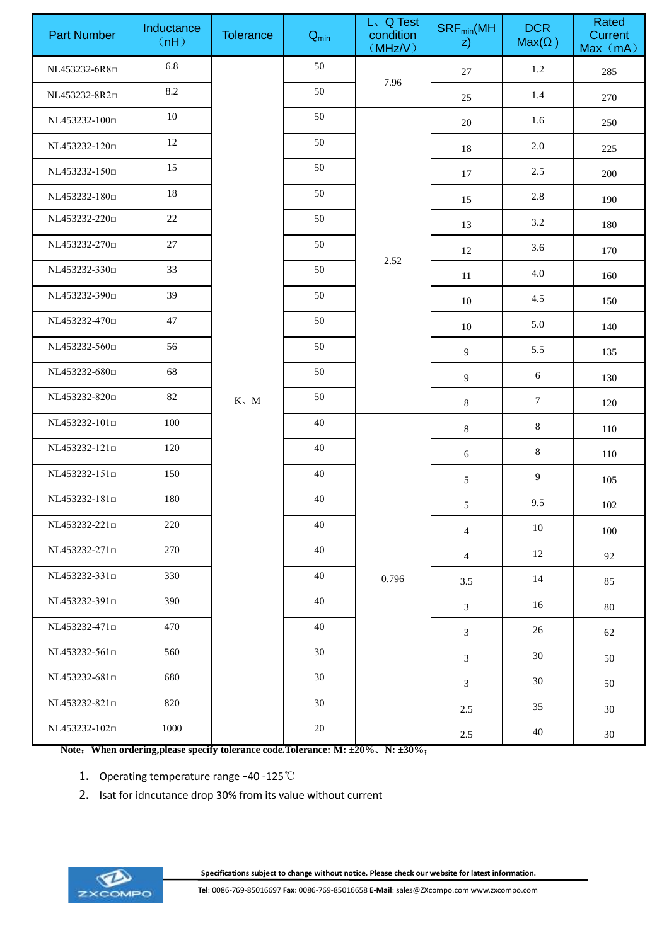| <b>Part Number</b>                        | Inductance<br>(nH) | <b>Tolerance</b> | $Q_{\text{min}}$ | L. Q Test<br>condition<br>(MHz/V) | $\mathsf{SRF}_{\textsf{min}}(\mathsf{MH})$<br>$\mathsf{z}$ | <b>DCR</b><br>$Max(\Omega)$ | Rated<br>Current<br>Max (mA) |
|-------------------------------------------|--------------------|------------------|------------------|-----------------------------------|------------------------------------------------------------|-----------------------------|------------------------------|
| NL453232-6R8                              | 6.8                |                  | 50               |                                   | 27                                                         | 1.2                         | 285                          |
| NL453232-8R2                              | 8.2                |                  | 50               | 7.96                              | 25                                                         | 1.4                         | 270                          |
| NL453232-100 <sub>0</sub>                 | 10                 |                  | 50               |                                   | 20                                                         | 1.6                         | 250                          |
| NL453232-120 <sub>D</sub>                 | 12                 |                  | 50               |                                   | 18                                                         | 2.0                         | 225                          |
| NL453232-150 <sub>0</sub>                 | 15                 |                  | 50               |                                   | 17                                                         | 2.5                         | 200                          |
| NL453232-180 <sup>[1]</sup>               | $18\,$             |                  | 50               |                                   | 15                                                         | 2.8                         | 190                          |
| NL453232-220 <sub>0</sub>                 | $22\,$             |                  | 50               |                                   | 13                                                         | 3.2                         | 180                          |
| NL453232-270 <sup>D</sup>                 | 27                 |                  | 50               |                                   | 12                                                         | 3.6                         | 170                          |
| NL453232-330 <sub>0</sub>                 | 33                 |                  | 50               | 2.52                              | 11                                                         | 4.0                         | 160                          |
| NL453232-390□                             | 39                 |                  | 50               |                                   | 10                                                         | 4.5                         | 150                          |
| NL453232-470 <sub>p</sub>                 | 47                 |                  | 50               |                                   | 10                                                         | 5.0                         | 140                          |
| NL453232-560 <sup>D</sup>                 | 56                 |                  | 50               |                                   | $\overline{9}$                                             | 5.5                         | 135                          |
| NL453232-680 <sup>D</sup>                 | 68                 |                  | 50               |                                   | $\overline{9}$                                             | 6                           | 130                          |
| NL453232-820 <sub>0</sub>                 | $82\,$             | $K \sim M$       | 50               |                                   | 8                                                          | $\tau$                      | 120                          |
| NL453232-101 <sup>0</sup>                 | 100                |                  | 40               |                                   | 8                                                          | $8\,$                       | 110                          |
| NL453232-121 <sup>0</sup>                 | 120                |                  | 40               |                                   | $\sqrt{6}$                                                 | $8\,$                       | 110                          |
| NL453232-151 <sup>0</sup>                 | 150                |                  | 40               |                                   | 5                                                          | $\overline{9}$              | 105                          |
| NL453232-181 <sup>[1]</sup>               | 180                |                  | 40               |                                   | $5\overline{)}$                                            | 9.5                         | 102                          |
| NL453232-221 <sup>D</sup>                 | 220                |                  | 40               |                                   | $\overline{4}$                                             | 10                          | 100                          |
| NL453232-271 <sup>0</sup>                 | 270                |                  | 40               |                                   | $\overline{4}$                                             | 12                          | 92                           |
| NL453232-331 <sup>[1]</sup>               | 330                |                  | 40               | 0.796                             | 3.5                                                        | 14                          | 85                           |
| NL453232-391 <sup>[1]</sup>               | 390                |                  | 40               |                                   | $\mathfrak{Z}$                                             | 16                          | 80                           |
| NL453232-471 <sup><math>\Box</math></sup> | 470                |                  | 40               |                                   | $\mathfrak{Z}$                                             | 26                          | 62                           |
| NL453232-561□                             | 560                |                  | 30               |                                   | $\mathfrak{Z}$                                             | 30                          | 50                           |
| NL453232-681 <sup><math>\Box</math></sup> | 680                |                  | 30               |                                   | 3                                                          | 30                          | 50                           |
| NL453232-821 <sup>p</sup>                 | 820                |                  | 30               |                                   | 2.5                                                        | 35                          | 30                           |
| NL453232-102 <sup>o</sup>                 | 1000               |                  | 20               |                                   | 2.5                                                        | 40                          | 30                           |

**Note**:**When ordering,please specify tolerance code.Tolerance: M: ±20%**、**N: ±30%**;

- 1. Operating temperature range -40 -125℃
- 2. Isat for idncutance drop 30% from its value without current



**Specifications subject to change without notice. Please check our website for latest information.**